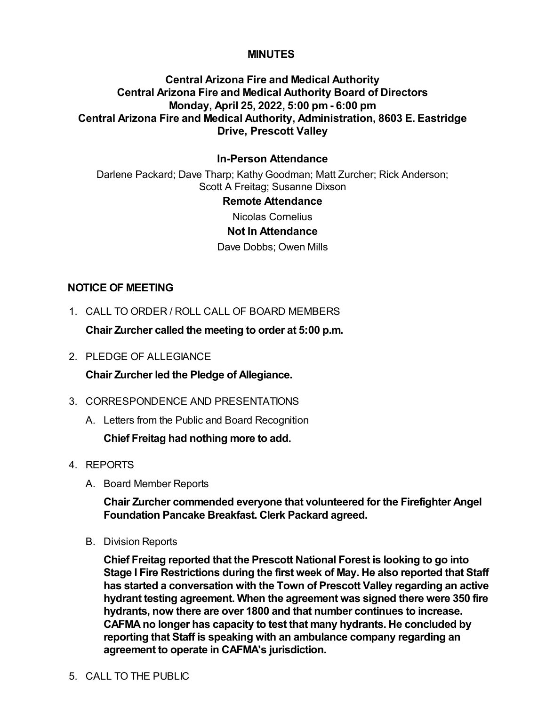### **MINUTES**

# **Central Arizona Fire and Medical Authority Central Arizona Fire and Medical Authority Board of Directors Monday, April 25, 2022, 5:00 pm - 6:00 pm Central Arizona Fire and Medical Authority, Administration, 8603 E. Eastridge Drive, Prescott Valley**

### **In-Person Attendance**

Darlene Packard; Dave Tharp; Kathy Goodman; Matt Zurcher; Rick Anderson; Scott A Freitag; Susanne Dixson

#### **Remote Attendance**

Nicolas Cornelius

### **Not In Attendance**

Dave Dobbs; Owen Mills

#### **NOTICE OF MEETING**

1. CALL TO ORDER / ROLL CALL OF BOARD MEMBERS

**Chair Zurcher called the meeting to order at 5:00 p.m.**

2. PLEDGE OF ALLEGIANCE

**Chair Zurcher led the Pledge of Allegiance.**

- 3. CORRESPONDENCE AND PRESENTATIONS
	- A. Letters from the Public and Board Recognition

**Chief Freitag had nothing more to add.**

- 4. REPORTS
	- A. Board Member Reports

**Chair Zurcher commended everyone that volunteered for the Firefighter Angel Foundation Pancake Breakfast. Clerk Packard agreed.**

B. Division Reports

**Chief Freitag reported that the Prescott National Forest is looking to go into Stage I Fire Restrictions during the first week of May. He also reported that Staff has started a conversation with the Town of Prescott Valley regarding an active hydrant testing agreement. When the agreement was signed there were 350 fire hydrants, now there are over 1800 and that number continues to increase. CAFMA no longer has capacity to test that many hydrants. He concluded by reporting that Staff is speaking with an ambulance company regarding an agreement to operate in CAFMA's jurisdiction.**

### 5. CALL TO THE PUBLIC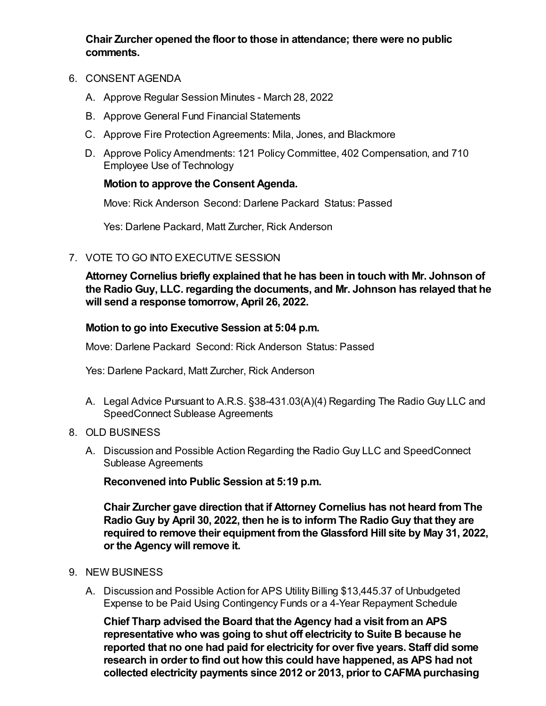**Chair Zurcher opened the floor to those in attendance; there were no public comments.**

- 6. CONSENT AGENDA
	- A. Approve Regular Session Minutes March 28, 2022
	- B. Approve General Fund Financial Statements
	- C. Approve Fire Protection Agreements: Mila, Jones, and Blackmore
	- D. Approve Policy Amendments: 121 Policy Committee, 402 Compensation, and 710 Employee Use of Technology

## **Motion to approve the Consent Agenda.**

Move: Rick Anderson Second: Darlene Packard Status: Passed

Yes: Darlene Packard, Matt Zurcher, Rick Anderson

7. VOTE TO GO INTO EXECUTIVE SESSION

**Attorney Cornelius briefly explained that he has been in touch with Mr. Johnson of the Radio Guy, LLC. regarding the documents, and Mr. Johnson has relayed that he will send a response tomorrow, April 26, 2022.**

### **Motion to go into Executive Session at 5:04 p.m.**

Move: Darlene Packard Second: Rick Anderson Status: Passed

Yes: Darlene Packard, Matt Zurcher, Rick Anderson

- A. Legal Advice Pursuant to A.R.S. §38-431.03(A)(4) Regarding The Radio Guy LLC and SpeedConnect Sublease Agreements
- 8. OLD BUSINESS
	- A. Discussion and Possible Action Regarding the Radio Guy LLC and SpeedConnect Sublease Agreements

**Reconvened into Public Session at 5:19 p.m.**

**Chair Zurcher gave direction that if Attorney Cornelius has not heard from The Radio Guy by April 30, 2022, then he is to inform The Radio Guy that they are required to remove their equipment from the Glassford Hill site by May 31, 2022, or the Agency will remove it.**

- 9. NEW BUSINESS
	- A. Discussion and Possible Action for APS Utility Billing \$13,445.37 of Unbudgeted Expense to be Paid Using Contingency Funds or a 4-Year Repayment Schedule

**Chief Tharp advised the Board that the Agency had a visit from an APS representative who was going to shut off electricity to Suite B because he reported that no one had paid for electricity for over five years. Staff did some research in order to find out how this could have happened, as APS had not collected electricity payments since 2012 or 2013, prior to CAFMA purchasing**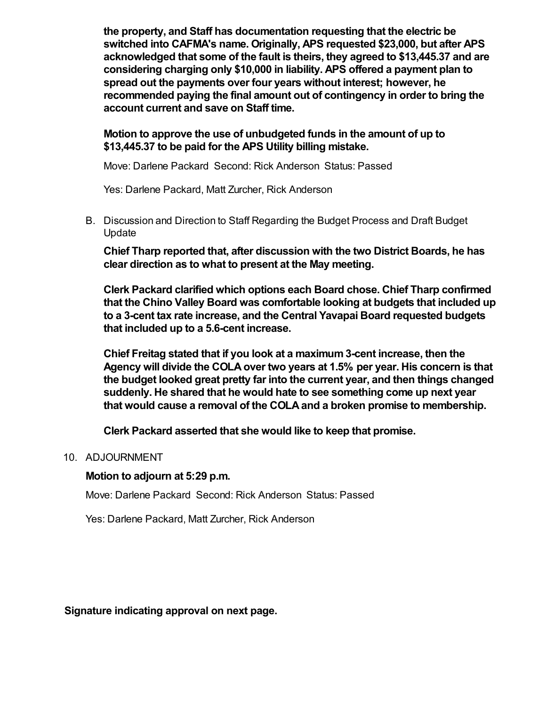**the property, and Staff has documentation requesting that the electric be switched into CAFMA's name. Originally, APS requested \$23,000, but after APS acknowledged that some of the fault is theirs, they agreed to \$13,445.37 and are considering charging only \$10,000 in liability. APS offered a payment plan to spread out the payments over four years without interest; however, he recommended paying the final amount out of contingency in order to bring the account current and save on Staff time.** 

## **Motion to approve the use of unbudgeted funds in the amount of up to \$13,445.37 to be paid for the APS Utility billing mistake.**

Move: Darlene Packard Second: Rick Anderson Status: Passed

Yes: Darlene Packard, Matt Zurcher, Rick Anderson

B. Discussion and Direction to Staff Regarding the Budget Process and Draft Budget Update

**Chief Tharp reported that, after discussion with the two District Boards, he has clear direction as to what to present at the May meeting.** 

**Clerk Packard clarified which options each Board chose. Chief Tharp confirmed that the Chino Valley Board was comfortable looking at budgets that included up to a 3-cent tax rate increase, and the Central Yavapai Board requested budgets that included up to a 5.6-cent increase.**

**Chief Freitag stated that if you look at a maximum 3-cent increase, then the Agency will divide the COLA over two years at 1.5% per year. His concern is that the budget looked great pretty far into the current year, and then things changed suddenly. He shared that he would hate to see something come up next year that would cause a removal of the COLA and a broken promise to membership.** 

**Clerk Packard asserted that she would like to keep that promise.**

## 10. ADJOURNMENT

## **Motion to adjourn at 5:29 p.m.**

Move: Darlene Packard Second: Rick Anderson Status: Passed

Yes: Darlene Packard, Matt Zurcher, Rick Anderson

**Signature indicating approval on next page.**